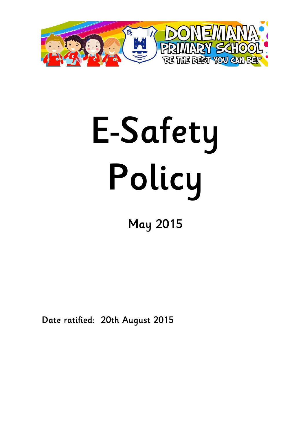

# **E-Safety Policy**

# **May 2015**

**Date ratified: 20th August 2015**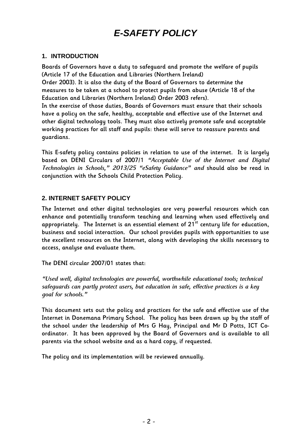# *E-SAFETY POLICY*

#### **1. INTRODUCTION**

**Boards of Governors have a duty to safeguard and promote the welfare of pupils (Article 17 of the Education and Libraries (Northern Ireland)**

**Order 2003). It is also the duty of the Board of Governors to determine the measures to be taken at a school to protect pupils from abuse (Article 18 of the Education and Libraries (Northern Ireland) Order 2003 refers).**

**In the exercise of those duties, Boards of Governors must ensure that their schools have a policy on the safe, healthy, acceptable and effective use of the Internet and other digital technology tools. They must also actively promote safe and acceptable working practices for all staff and pupils: these will serve to reassure parents and guardians.**

**This E-safety policy contains policies in relation to use of the internet. It is largely based on DENI Circulars of 2007/1** *"Acceptable Use of the Internet and Digital Technologies in Schools," 2013/25 "eSafety Guidance" and* **should also be read in conjunction with the Schools Child Protection Policy.** 

#### **2. INTERNET SAFETY POLICY**

**The Internet and other digital technologies are very powerful resources which can enhance and potentially transform teaching and learning when used effectively and appropriately. The Internet is an essential element of 21st century life for education, business and social interaction. Our school provides pupils with opportunities to use the excellent resources on the Internet, along with developing the skills necessary to access, analyse and evaluate them.**

**The DENI circular 2007/01 states that:**

*"Used well, digital technologies are powerful, worthwhile educational tools; technical safeguards can partly protect users, but education in safe, effective practices is a key goal for schools."*

**This document sets out the policy and practices for the safe and effective use of the Internet in Donemana Primary School. The policy has been drawn up by the staff of the school under the leadership of Mrs G Hay, Principal and Mr D Potts, ICT Coordinator. It has been approved by the Board of Governors and is available to all parents via the school website and as a hard copy, if requested.**

**The policy and its implementation will be reviewed annually.**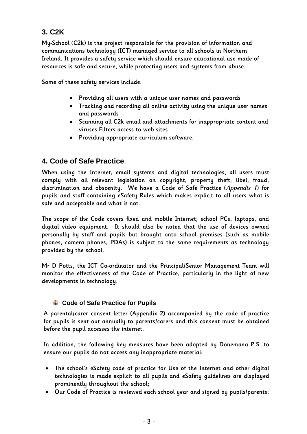#### **3. C2K**

**My-School (C2k) is the project responsible for the provision of information and communications technology (ICT) managed service to all schools in Northern Ireland. It provides a safety service which should ensure educational use made of resources is safe and secure, while protecting users and systems from abuse.** 

**Some of these safety services include:**

- **Providing all users with a unique user names and passwords**
- **Tracking and recording all online activity using the unique user names and passwords**
- **Scanning all C2k email and attachments for inappropriate content and viruses Filters access to web sites**
- **Providing appropriate curriculum software.**

#### **4. Code of Safe Practice**

**When using the Internet, email systems and digital technologies, all users must comply with all relevant legislation on copyright, property theft, libel, fraud, discrimination and obscenity. We have a Code of Safe Practice (***Appendix 1***) for pupils and staff containing eSafety Rules which makes explicit to all users what is safe and acceptable and what is not.** 

**The scope of the Code covers fixed and mobile Internet; school PCs, laptops, and digital video equipment. It should also be noted that the use of devices owned personally by staff and pupils but brought onto school premises (such as mobile phones, camera phones, PDAs) is subject to the same requirements as technology provided by the school.** 

**Mr D Potts, the ICT Co-ordinator and the Principal/Senior Management Team will monitor the effectiveness of the Code of Practice, particularly in the light of new developments in technology.**

#### **↓ Code of Safe Practice for Pupils**

**A parental/carer consent letter (Appendix 2) accompanied by the code of practice for pupils is sent out annually to parents/carers and this consent must be obtained before the pupil accesses the internet.** 

**In addition, the following key measures have been adopted by Donemana P.S. to ensure our pupils do not access any inappropriate material:**

- **The school's eSafety code of practice for Use of the Internet and other digital technologies is made explicit to all pupils and eSafety guidelines are displayed prominently throughout the school;**
- **Our Code of Practice is reviewed each school year and signed by pupils/parents;**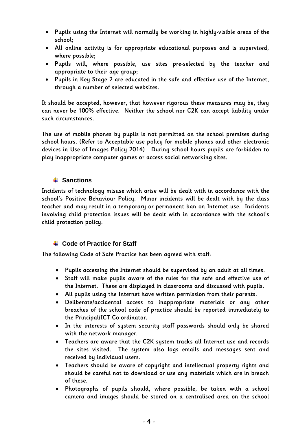- **Pupils using the Internet will normally be working in highly-visible areas of the school;**
- **All online activity is for appropriate educational purposes and is supervised, where possible;**
- **Pupils will, where possible, use sites pre-selected by the teacher and appropriate to their age group;**
- **Pupils in Key Stage 2 are educated in the safe and effective use of the Internet, through a number of selected websites.**

**It should be accepted, however, that however rigorous these measures may be, they can never be 100% effective. Neither the school nor C2K can accept liability under such circumstances.**

**The use of mobile phones by pupils is not permitted on the school premises during school hours. (Refer to Acceptable use policy for mobile phones and other electronic devices in Use of Images Policy 2014) During school hours pupils are forbidden to play inappropriate computer games or access social networking sites.**

#### $\frac{1}{2}$  Sanctions

**Incidents of technology misuse which arise will be dealt with in accordance with the school's Positive Behaviour Policy. Minor incidents will be dealt with by the class teacher and may result in a temporary or permanent ban on Internet use. Incidents involving child protection issues will be dealt with in accordance with the school's child protection policy.**

#### **↓ Code of Practice for Staff**

**The following Code of Safe Practice has been agreed with staff:**

- **Pupils accessing the Internet should be supervised by an adult at all times.**
- **Staff will make pupils aware of the rules for the safe and effective use of the Internet. These are displayed in classrooms and discussed with pupils.**
- **All pupils using the Internet have written permission from their parents.**
- **Deliberate/accidental access to inappropriate materials or any other breaches of the school code of practice should be reported immediately to the Principal/ICT Co-ordinator.**
- **In the interests of system security staff passwords should only be shared with the network manager.**
- **Teachers are aware that the C2K system tracks all Internet use and records the sites visited. The system also logs emails and messages sent and received by individual users.**
- **Teachers should be aware of copyright and intellectual property rights and should be careful not to download or use any materials which are in breach of these.**
- **Photographs of pupils should, where possible, be taken with a school camera and images should be stored on a centralised area on the school**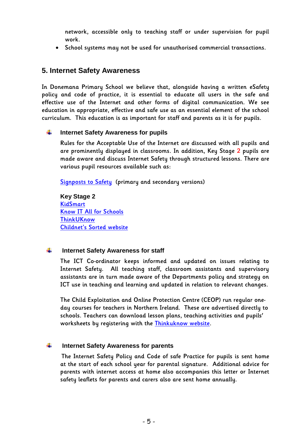**network, accessible only to teaching staff or under supervision for pupil work.**

**School systems may not be used for unauthorised commercial transactions.**

#### **5. Internet Safety Awareness**

**In Donemana Primary School we believe that, alongside having a written eSafety policy and code of practice, it is essential to educate all users in the safe and effective use of the Internet and other forms of digital communication. We see education in appropriate, effective and safe use as an essential element of the school curriculum. This education is as important for staff and parents as it is for pupils.**

#### **Internet Safety Awareness for pupils** ÷

**Rules for the Acceptable Use of the Internet are discussed with all pupils and are prominently displayed in classrooms. In addition, Key Stage 2 pupils are made aware and discuss Internet Safety through structured lessons. There are various pupil resources available such as:**

**[Signposts](http://www.teachfind.com/becta/becta-schools-publications-e-safety-signposts-safety-teaching-e-safety-key-stages-1-and) to Safety (primary and secondary versions)**

**Key Stage 2 [KidSmart](http://www.kidsmart.org.uk/) [Know IT All for Schools](http://www.childnet-int.org/kia/schools/) [ThinkUKnow](http://www.thinkuknow.co.uk/) Childnet's [Sorted website](http://www.childnet-int.org/sorted/)**

#### ÷ **Internet Safety Awareness for staff**

**The ICT Co-ordinator keeps informed and updated on issues relating to Internet Safety. All teaching staff, classroom assistants and supervisory assistants are in turn made aware of the Departments policy and strategy on ICT use in teaching and learning and updated in relation to relevant changes.**

**The Child Exploitation and Online Protection Centre (CEOP) run regular oneday courses for teachers in Northern Ireland. These are advertised directly to schools. Teachers can download lesson plans, teaching activities and pupils' worksheets by registering with the [Thinkuknow website.](http://thinkuknow.co.uk/)**

#### ÷ **Internet Safety Awareness for parents**

 **The Internet Safety Policy and Code of safe Practice for pupils is sent home at the start of each school year for parental signature. Additional advice for parents with internet access at home also accompanies this letter or Internet safety leaflets for parents and carers also are sent home annually.**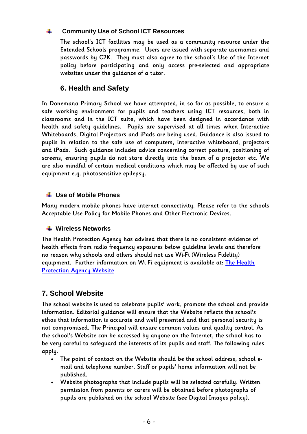#### ÷ **Community Use of School ICT Resources**

**The school's ICT facilities may be used as a community resource under the Extended Schools programme. Users are issued with separate usernames and passwords by C2K. They must also agree to the school's Use of the Internet policy before participating and only access pre-selected and appropriate websites under the guidance of a tutor.**

#### **6. Health and Safety**

**In Donemana Primary School we have attempted, in so far as possible, to ensure a safe working environment for pupils and teachers using ICT resources, both in classrooms and in the ICT suite, which have been designed in accordance with health and safety guidelines. Pupils are supervised at all times when Interactive Whiteboards, Digital Projectors and iPads are being used. Guidance is also issued to pupils in relation to the safe use of computers, interactive whiteboard, projectors and iPads. Such guidance includes advice concerning correct posture, positioning of screens, ensuring pupils do not stare directly into the beam of a projector etc. We are also mindful of certain medical conditions which may be affected by use of such equipment e.g. photosensitive epilepsy.**

#### **Use of Mobile Phones**

**Many modern mobile phones have internet connectivity. Please refer to the schools Acceptable Use Policy for Mobile Phones and Other Electronic Devices.**

#### **Wireless Networks**

**The Health Protection Agency has advised that there is no consistent evidence of health effects from radio frequency exposures below guideline levels and therefore no reason why schools and others should not use Wi-Fi (Wireless Fidelity) equipment. Further information on Wi-Fi equipment is available at: The [Health](https://www.gov.uk/government/publications/wireless-networks-wi-fi-radio-waves-and-health/wi-fi-radio-waves-and-health) [Protection](https://www.gov.uk/government/publications/wireless-networks-wi-fi-radio-waves-and-health/wi-fi-radio-waves-and-health) Agency Website**

#### **7. School Website**

**The school website is used to celebrate pupils' work, promote the school and provide information. Editorial guidance will ensure that the Website reflects the school's ethos that information is accurate and well presented and that personal security is not compromised. The Principal will ensure common values and quality control. As the school's Website can be accessed by anyone on the Internet, the school has to be very careful to safeguard the interests of its pupils and staff. The following rules apply.**

- **The point of contact on the Website should be the school address, school email and telephone number. Staff or pupils' home information will not be published.**
- **Website photographs that include pupils will be selected carefully. Written permission from parents or carers will be obtained before photographs of pupils are published on the school Website (see Digital Images policy).**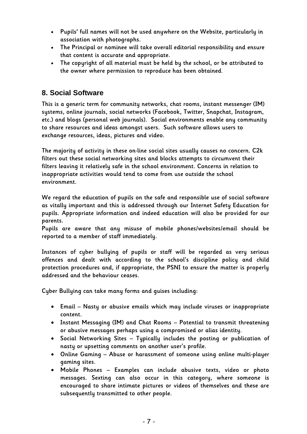- **Pupils' full names will not be used anywhere on the Website, particularly in association with photographs.**
- **The Principal or nominee will take overall editorial responsibility and ensure that content is accurate and appropriate.**
- **The copyright of all material must be held by the school, or be attributed to the owner where permission to reproduce has been obtained.**

#### **8. Social Software**

**This is a generic term for community networks, chat rooms, instant messenger (IM) systems, online journals, social networks (Facebook, Twitter, Snapchat, Instagram, etc.) and blogs (personal web journals). Social environments enable any community to share resources and ideas amongst users. Such software allows users to exchange resources, ideas, pictures and video.**

**The majority of activity in these on-line social sites usually causes no concern. C2k filters out these social networking sites and blocks attempts to circumvent their filters leaving it relatively safe in the school environment. Concerns in relation to inappropriate activities would tend to come from use outside the school environment.**

**We regard the education of pupils on the safe and responsible use of social software as vitally important and this is addressed through our Internet Safety Education for pupils. Appropriate information and indeed education will also be provided for our parents.**

**Pupils are aware that any misuse of mobile phones/websites/email should be reported to a member of staff immediately.**

**Instances of cyber bullying of pupils or staff will be regarded as very serious offences and dealt with according to the school's discipline policy and child protection procedures and, if appropriate, the PSNI to ensure the matter is properly addressed and the behaviour ceases.**

**Cyber Bullying can take many forms and guises including:**

- **Email – Nasty or abusive emails which may include viruses or inappropriate content.**
- **Instant Messaging (IM) and Chat Rooms – Potential to transmit threatening or abusive messages perhaps using a compromised or alias identity.**
- **Social Networking Sites – Typically includes the posting or publication of nasty or upsetting comments on another user's profile.**
- **Online Gaming – Abuse or harassment of someone using online multi-player gaming sites.**
- **Mobile Phones – Examples can include abusive texts, video or photo messages. Sexting can also occur in this category, where someone is encouraged to share intimate pictures or videos of themselves and these are subsequently transmitted to other people.**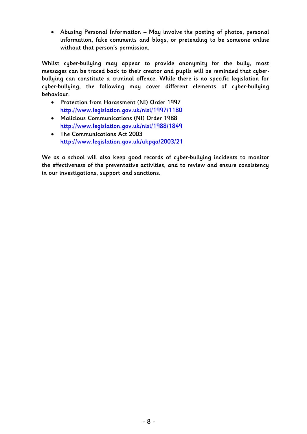**Abusing Personal Information – May involve the posting of photos, personal information, fake comments and blogs, or pretending to be someone online without that person's permission.**

**Whilst cyber-bullying may appear to provide anonymity for the bully, most messages can be traced back to their creator and pupils will be reminded that cyberbullying can constitute a criminal offence. While there is no specific legislation for cyber-bullying, the following may cover different elements of cyber-bullying behaviour:**

- **Protection from Harassment (NI) Order 1997 <http://www.legislation.gov.uk/nisi/1997/1180>**
- **Malicious Communications (NI) Order 1988 <http://www.legislation.gov.uk/nisi/1988/1849>**
- **The Communications Act 2003 <http://www.legislation.gov.uk/ukpga/2003/21>**

**We as a school will also keep good records of cyber-bullying incidents to monitor the effectiveness of the preventative activities, and to review and ensure consistency in our investigations, support and sanctions.**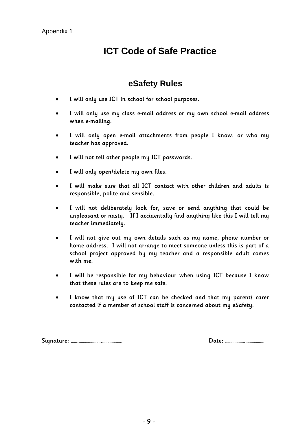## **ICT Code of Safe Practice**

#### **eSafety Rules**

- **I will only use ICT in school for school purposes.**
- **I will only use my class e-mail address or my own school e-mail address when e-mailing.**
- **I will only open e-mail attachments from people I know, or who my teacher has approved.**
- **I will not tell other people my ICT passwords.**
- **I will only open/delete my own files.**
- **I will make sure that all ICT contact with other children and adults is responsible, polite and sensible.**
- **I will not deliberately look for, save or send anything that could be unpleasant or nasty. If I accidentally find anything like this I will tell my teacher immediately.**
- **I will not give out my own details such as my name, phone number or home address. I will not arrange to meet someone unless this is part of a school project approved by my teacher and a responsible adult comes with me.**
- **I will be responsible for my behaviour when using ICT because I know that these rules are to keep me safe.**
- **I know that my use of ICT can be checked and that my parent/ carer contacted if a member of school staff is concerned about my eSafety.**

**Signature: …….………………….………………. Date: ……………….………………**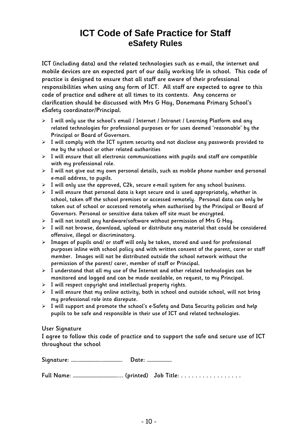### **ICT Code of Safe Practice for Staff eSafety Rules**

**ICT (including data) and the related technologies such as e-mail, the internet and mobile devices are an expected part of our daily working life in school. This code of practice is designed to ensure that all staff are aware of their professional responsibilities when using any form of ICT. All staff are expected to agree to this code of practice and adhere at all times to its contents. Any concerns or clarification should be discussed with Mrs G Hay, Donemana Primary School's eSafety coordinator/Principal.**

- **I will only use the school's email / Internet / Intranet / Learning Platform and any related technologies for professional purposes or for uses deemed 'reasonable' by the Principal or Board of Governors.**
- **I will comply with the ICT system security and not disclose any passwords provided to me by the school or other related authorities**
- **I will ensure that all electronic communications with pupils and staff are compatible with my professional role.**
- **I will not give out my own personal details, such as mobile phone number and personal e-mail address, to pupils.**
- **I will only use the approved, C2k, secure e-mail system for any school business.**
- **I will ensure that personal data is kept secure and is used appropriately, whether in school, taken off the school premises or accessed remotely. Personal data can only be taken out of school or accessed remotely when authorised by the Principal or Board of Governors. Personal or sensitive data taken off site must be encrypted.**
- **I will not install any hardware/software without permission of Mrs G Hay.**
- **I will not browse, download, upload or distribute any material that could be considered offensive, illegal or discriminatory.**
- **Images of pupils and/ or staff will only be taken, stored and used for professional purposes inline with school policy and with written consent of the parent, carer or staff member. Images will not be distributed outside the school network without the permission of the parent/ carer, member of staff or Principal.**
- **I understand that all my use of the Internet and other related technologies can be monitored and logged and can be made available, on request, to my Principal.**
- **I will respect copyright and intellectual property rights.**
- **I will ensure that my online activity, both in school and outside school, will not bring my professional role into disrepute.**
- **I will support and promote the school's e-Safety and Data Security policies and help pupils to be safe and responsible in their use of ICT and related technologies.**

#### **User Signature**

**I agree to follow this code of practice and to support the safe and secure use of ICT throughout the school**

|  |  |  | Date: |
|--|--|--|-------|
|--|--|--|-------|

**Full Name: …………………………………….... (printed) Job Title: . . . . . . . . . . . . . . . . .**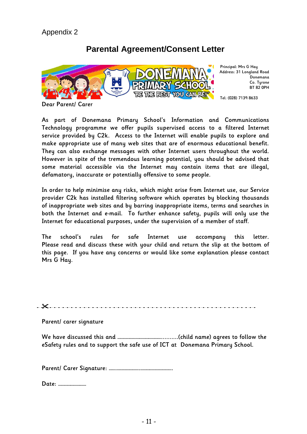#### **Parental Agreement/Consent Letter**



**Principal: Mrs G Hay Address: 31 Longland Road Donemana Co. Tyrone BT 82 0PH**

**Tel: (028) 7139 8633**

**Dear Parent/ Carer**

**As part of Donemana Primary School's Information and Communications Technology programme we offer pupils supervised access to a filtered Internet service provided by C2k. Access to the Internet will enable pupils to explore and make appropriate use of many web sites that are of enormous educational benefit. They can also exchange messages with other Internet users throughout the world. However in spite of the tremendous learning potential, you should be advised that some material accessible via the Internet may contain items that are illegal, defamatory, inaccurate or potentially offensive to some people.**

**In order to help minimise any risks, which might arise from Internet use, our Service provider C2k has installed filtering software which operates by blocking thousands of inappropriate web sites and by barring inappropriate items, terms and searches in both the Internet and e-mail. To further enhance safety, pupils will only use the Internet for educational purposes, under the supervision of a member of staff.**

**The school's rules for safe Internet use accompany this letter. Please read and discuss these with your child and return the slip at the bottom of this page. If you have any concerns or would like some explanation please contact Mrs G Hay.**

**Parent/ carer signature**

**We have discussed this and ……………………………………..........(child name) agrees to follow the eSafety rules and to support the safe use of ICT at Donemana Primary School.**

**Parent/ Carer Signature: …….………………….………………………….** 

**Date: ………………………**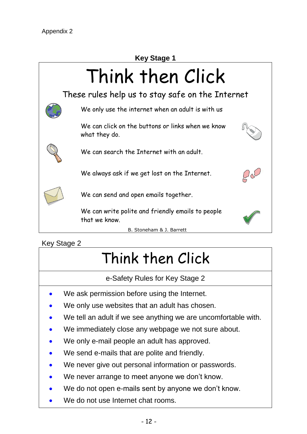

#### Key Stage 2

# Think then Click

e-Safety Rules for Key Stage 2

- We ask permission before using the Internet.
- We only use websites that an adult has chosen.
- We tell an adult if we see anything we are uncomfortable with.
- We immediately close any webpage we not sure about.
- We only e-mail people an adult has approved.
- We send e-mails that are polite and friendly.
- We never give out personal information or passwords.
- We never arrange to meet anyone we don't know.
- We do not open e-mails sent by anyone we don't know.
- We do not use Internet chat rooms.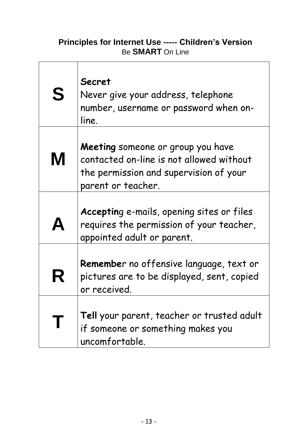#### **Principles for Internet Use ----- Children's Version** Be **SMART** On Line

| S                | <b>Secret</b><br>Never give your address, telephone<br>number, username or password when on-<br>line.                                         |  |
|------------------|-----------------------------------------------------------------------------------------------------------------------------------------------|--|
| M                | Meeting someone or group you have<br>contacted on-line is not allowed without<br>the permission and supervision of your<br>parent or teacher. |  |
| $\blacktriangle$ | Accepting e-mails, opening sites or files<br>requires the permission of your teacher,<br>appointed adult or parent.                           |  |
| R                | Remember no offensive language, text or<br>pictures are to be displayed, sent, copied<br>or received                                          |  |
| T                | Tell your parent, teacher or trusted adult<br>if someone or something makes you<br>uncomfortable.                                             |  |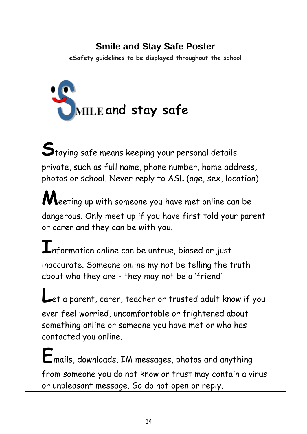## **Smile and Stay Safe Poster**

**eSafety guidelines to be displayed throughout the school**



**S**taying safe means keeping your personal details private, such as full name, phone number, home address, photos or school. Never reply to ASL (age, sex, location)

**M**eeting up with someone you have met online can be dangerous. Only meet up if you have first told your parent or carer and they can be with you.

 ${\bf I}$ nformation online can be untrue, biased or just inaccurate. Someone online my not be telling the truth about who they are - they may not be a 'friend'

**L**et a parent, carer, teacher or trusted adult know if you ever feel worried, uncomfortable or frightened about something online or someone you have met or who has contacted you online.

**E**mails, downloads, IM messages, photos and anything from someone you do not know or trust may contain a virus or unpleasant message. So do not open or reply.